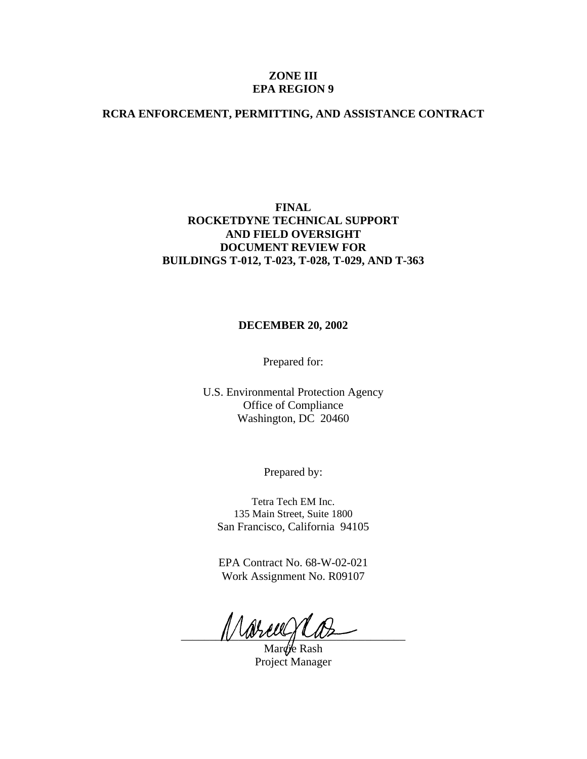# **ZONE III EPA REGION 9**

# **RCRA ENFORCEMENT, PERMITTING, AND ASSISTANCE CONTRACT**

# **FINAL ROCKETDYNE TECHNICAL SUPPORT AND FIELD OVERSIGHT DOCUMENT REVIEW FOR BUILDINGS T-012, T-023, T-028, T-029, AND T-363**

# **DECEMBER 20, 2002**

Prepared for:

U.S. Environmental Protection Agency Office of Compliance Washington, DC 20460

Prepared by:

Tetra Tech EM Inc. 135 Main Street, Suite 1800 San Francisco, California 94105

EPA Contract No. 68-W-02-021 Work Assignment No. R09107

\_\_\_\_\_\_\_\_\_\_\_\_\_\_\_\_\_\_\_\_\_\_\_\_\_\_\_\_\_\_\_\_\_\_\_\_\_\_\_

Marcie Rash Project Manager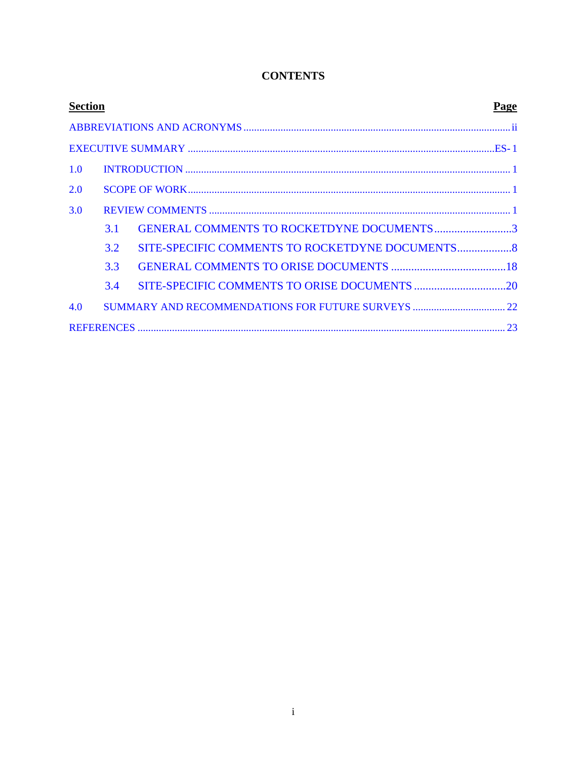| <b>Section</b><br>Page |     |                                                |  |  |
|------------------------|-----|------------------------------------------------|--|--|
|                        |     |                                                |  |  |
|                        |     |                                                |  |  |
| 1.0                    |     |                                                |  |  |
| 2.0                    |     |                                                |  |  |
| 3.0                    |     |                                                |  |  |
|                        | 3.1 | GENERAL COMMENTS TO ROCKETDYNE DOCUMENTS3      |  |  |
|                        | 3.2 | SITE-SPECIFIC COMMENTS TO ROCKETDYNE DOCUMENTS |  |  |
|                        | 3.3 |                                                |  |  |
|                        | 3.4 |                                                |  |  |
| 4.0                    |     |                                                |  |  |
|                        |     |                                                |  |  |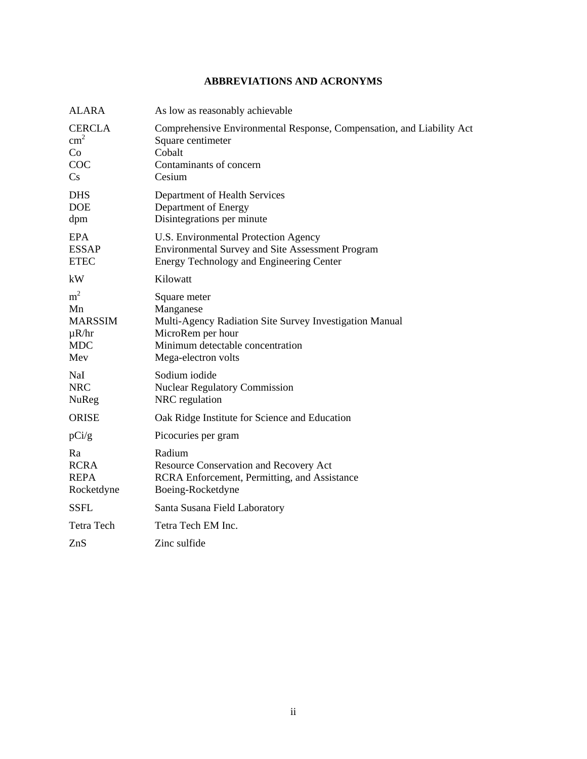# <span id="page-2-0"></span>**ABBREVIATIONS AND ACRONYMS**

| <b>ALARA</b>                                                              | As low as reasonably achievable                                                                                                                                      |
|---------------------------------------------------------------------------|----------------------------------------------------------------------------------------------------------------------------------------------------------------------|
| <b>CERCLA</b><br>$\text{cm}^2$<br>Co<br>COC<br>$\mathbf{C}$ s             | Comprehensive Environmental Response, Compensation, and Liability Act<br>Square centimeter<br>Cobalt<br>Contaminants of concern<br>Cesium                            |
| <b>DHS</b><br><b>DOE</b><br>dpm                                           | Department of Health Services<br>Department of Energy<br>Disintegrations per minute                                                                                  |
| <b>EPA</b><br><b>ESSAP</b><br><b>ETEC</b>                                 | U.S. Environmental Protection Agency<br>Environmental Survey and Site Assessment Program<br>Energy Technology and Engineering Center                                 |
| kW                                                                        | Kilowatt                                                                                                                                                             |
| m <sup>2</sup><br>Mn<br><b>MARSSIM</b><br>$\mu R/hr$<br><b>MDC</b><br>Mev | Square meter<br>Manganese<br>Multi-Agency Radiation Site Survey Investigation Manual<br>MicroRem per hour<br>Minimum detectable concentration<br>Mega-electron volts |
| NaI<br><b>NRC</b><br><b>NuReg</b>                                         | Sodium iodide<br><b>Nuclear Regulatory Commission</b><br>NRC regulation                                                                                              |
| <b>ORISE</b>                                                              | Oak Ridge Institute for Science and Education                                                                                                                        |
| pCi/g                                                                     | Picocuries per gram                                                                                                                                                  |
| Ra<br><b>RCRA</b><br><b>REPA</b><br>Rocketdyne                            | Radium<br>Resource Conservation and Recovery Act<br>RCRA Enforcement, Permitting, and Assistance<br>Boeing-Rocketdyne                                                |
| <b>SSFL</b>                                                               | Santa Susana Field Laboratory                                                                                                                                        |
| <b>Tetra Tech</b>                                                         | Tetra Tech EM Inc.                                                                                                                                                   |
| ZnS                                                                       | Zinc sulfide                                                                                                                                                         |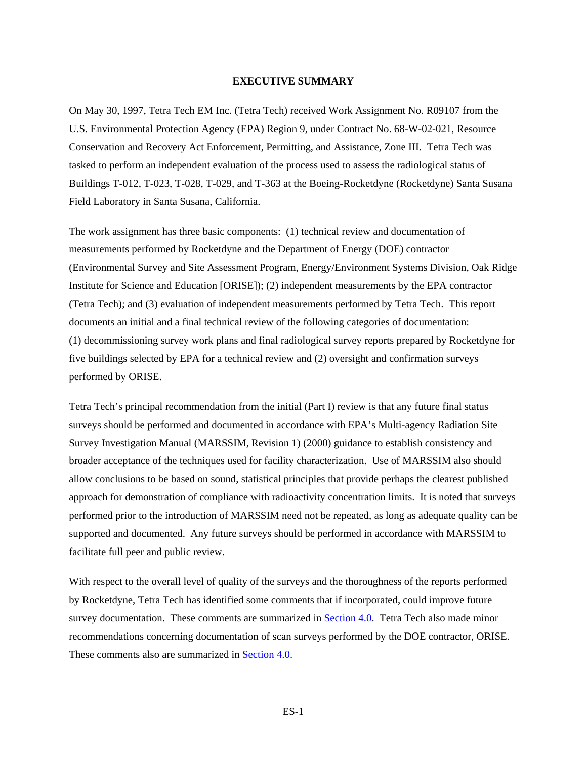# <span id="page-3-0"></span>**EXECUTIVE SUMMARY**

On May 30, 1997, Tetra Tech EM Inc. (Tetra Tech) received Work Assignment No. R09107 from the U.S. Environmental Protection Agency (EPA) Region 9, under Contract No. 68-W-02-021, Resource Conservation and Recovery Act Enforcement, Permitting, and Assistance, Zone III. Tetra Tech was tasked to perform an independent evaluation of the process used to assess the radiological status of Buildings T-012, T-023, T-028, T-029, and T-363 at the Boeing-Rocketdyne (Rocketdyne) Santa Susana Field Laboratory in Santa Susana, California.

The work assignment has three basic components: (1) technical review and documentation of measurements performed by Rocketdyne and the Department of Energy (DOE) contractor (Environmental Survey and Site Assessment Program, Energy/Environment Systems Division, Oak Ridge Institute for Science and Education [ORISE]); (2) independent measurements by the EPA contractor (Tetra Tech); and (3) evaluation of independent measurements performed by Tetra Tech. This report documents an initial and a final technical review of the following categories of documentation: (1) decommissioning survey work plans and final radiological survey reports prepared by Rocketdyne for five buildings selected by EPA for a technical review and (2) oversight and confirmation surveys performed by ORISE.

Tetra Tech's principal recommendation from the initial (Part I) review is that any future final status surveys should be performed and documented in accordance with EPA's Multi-agency Radiation Site Survey Investigation Manual (MARSSIM, Revision 1) (2000) guidance to establish consistency and broader acceptance of the techniques used for facility characterization. Use of MARSSIM also should allow conclusions to be based on sound, statistical principles that provide perhaps the clearest published approach for demonstration of compliance with radioactivity concentration limits. It is noted that surveys performed prior to the introduction of MARSSIM need not be repeated, as long as adequate quality can be supported and documented. Any future surveys should be performed in accordance with MARSSIM to facilitate full peer and public review.

With respect to the overall level of quality of the surveys and the thoroughness of the reports performed by Rocketdyne, Tetra Tech has identified some comments that if incorporated, could improve future survey documentation. These comments are summarized in [Section 4.0.](#page-26-0) Tetra Tech also made minor recommendations concerning documentation of scan surveys performed by the DOE contractor, ORISE. These comments also are summarized in [Section 4.0.](#page-26-0)

ES-1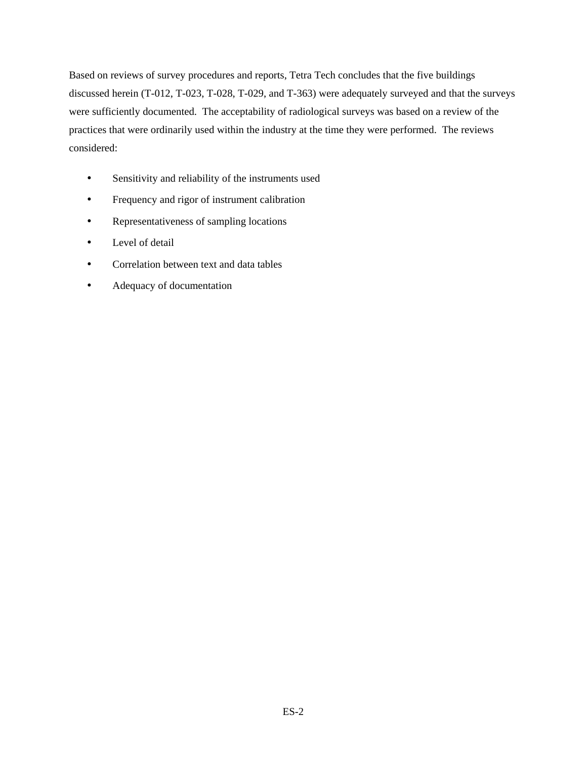Based on reviews of survey procedures and reports, Tetra Tech concludes that the five buildings discussed herein (T-012, T-023, T-028, T-029, and T-363) were adequately surveyed and that the surveys were sufficiently documented. The acceptability of radiological surveys was based on a review of the practices that were ordinarily used within the industry at the time they were performed. The reviews considered:

- Sensitivity and reliability of the instruments used
- Frequency and rigor of instrument calibration
- Representativeness of sampling locations
- Level of detail
- Correlation between text and data tables
- Adequacy of documentation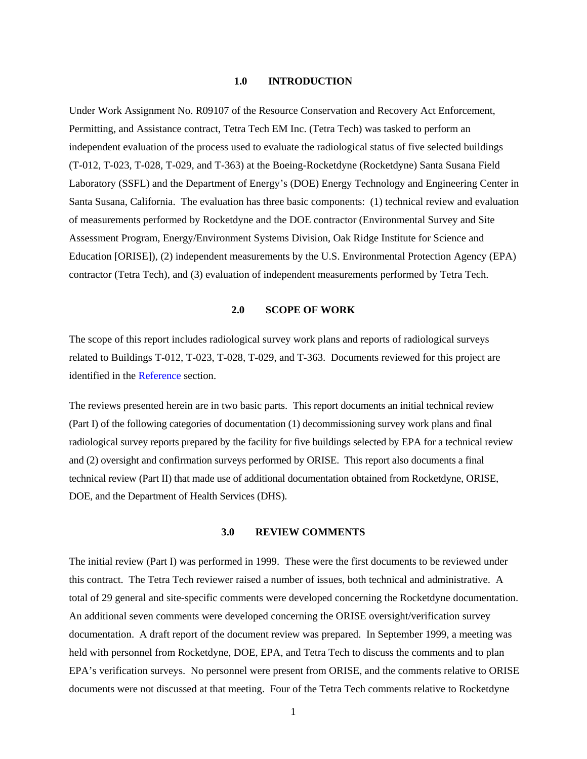### <span id="page-5-0"></span>**1.0 INTRODUCTION**

Under Work Assignment No. R09107 of the Resource Conservation and Recovery Act Enforcement, Permitting, and Assistance contract, Tetra Tech EM Inc. (Tetra Tech) was tasked to perform an independent evaluation of the process used to evaluate the radiological status of five selected buildings (T-012, T-023, T-028, T-029, and T-363) at the Boeing-Rocketdyne (Rocketdyne) Santa Susana Field Laboratory (SSFL) and the Department of Energy's (DOE) Energy Technology and Engineering Center in Santa Susana, California. The evaluation has three basic components: (1) technical review and evaluation of measurements performed by Rocketdyne and the DOE contractor (Environmental Survey and Site Assessment Program, Energy/Environment Systems Division, Oak Ridge Institute for Science and Education [ORISE]), (2) independent measurements by the U.S. Environmental Protection Agency (EPA) contractor (Tetra Tech), and (3) evaluation of independent measurements performed by Tetra Tech.

#### <span id="page-5-1"></span>**2.0 SCOPE OF WORK**

The scope of this report includes radiological survey work plans and reports of radiological surveys related to Buildings T-012, T-023, T-028, T-029, and T-363. Documents reviewed for this project are identified in the [Reference s](#page-27-1)ection.

The reviews presented herein are in two basic parts. This report documents an initial technical review (Part I) of the following categories of documentation (1) decommissioning survey work plans and final radiological survey reports prepared by the facility for five buildings selected by EPA for a technical review and (2) oversight and confirmation surveys performed by ORISE. This report also documents a final technical review (Part II) that made use of additional documentation obtained from Rocketdyne, ORISE, DOE, and the Department of Health Services (DHS).

# <span id="page-5-2"></span>**3.0 REVIEW COMMENTS**

The initial review (Part I) was performed in 1999. These were the first documents to be reviewed under this contract. The Tetra Tech reviewer raised a number of issues, both technical and administrative. A total of 29 general and site-specific comments were developed concerning the Rocketdyne documentation. An additional seven comments were developed concerning the ORISE oversight/verification survey documentation. A draft report of the document review was prepared. In September 1999, a meeting was held with personnel from Rocketdyne, DOE, EPA, and Tetra Tech to discuss the comments and to plan EPA's verification surveys. No personnel were present from ORISE, and the comments relative to ORISE documents were not discussed at that meeting. Four of the Tetra Tech comments relative to Rocketdyne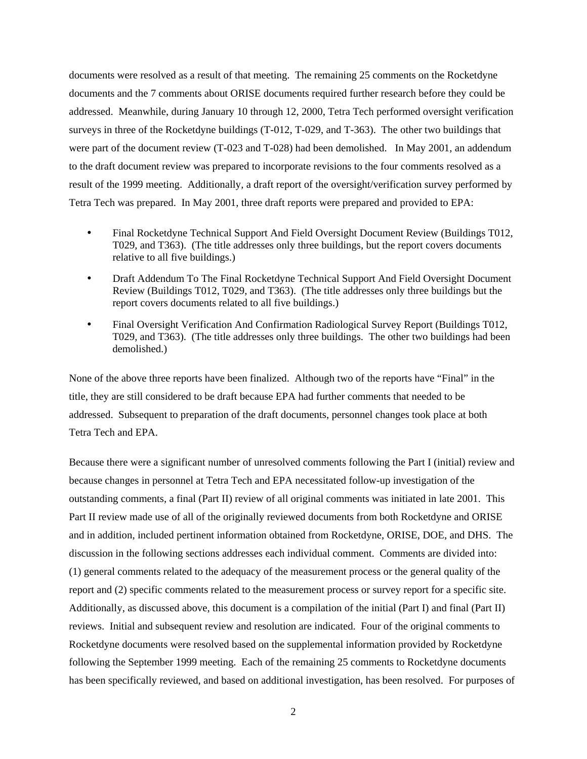documents were resolved as a result of that meeting. The remaining 25 comments on the Rocketdyne documents and the 7 comments about ORISE documents required further research before they could be addressed. Meanwhile, during January 10 through 12, 2000, Tetra Tech performed oversight verification surveys in three of the Rocketdyne buildings (T-012, T-029, and T-363). The other two buildings that were part of the document review (T-023 and T-028) had been demolished. In May 2001, an addendum to the draft document review was prepared to incorporate revisions to the four comments resolved as a result of the 1999 meeting. Additionally, a draft report of the oversight/verification survey performed by Tetra Tech was prepared. In May 2001, three draft reports were prepared and provided to EPA:

- Final Rocketdyne Technical Support And Field Oversight Document Review (Buildings T012, T029, and T363). (The title addresses only three buildings, but the report covers documents relative to all five buildings.)
- Draft Addendum To The Final Rocketdyne Technical Support And Field Oversight Document Review (Buildings T012, T029, and T363). (The title addresses only three buildings but the report covers documents related to all five buildings.)
- Final Oversight Verification And Confirmation Radiological Survey Report (Buildings T012, T029, and T363). (The title addresses only three buildings. The other two buildings had been demolished.)

None of the above three reports have been finalized. Although two of the reports have "Final" in the title, they are still considered to be draft because EPA had further comments that needed to be addressed. Subsequent to preparation of the draft documents, personnel changes took place at both Tetra Tech and EPA.

Because there were a significant number of unresolved comments following the Part I (initial) review and because changes in personnel at Tetra Tech and EPA necessitated follow-up investigation of the outstanding comments, a final (Part II) review of all original comments was initiated in late 2001. This Part II review made use of all of the originally reviewed documents from both Rocketdyne and ORISE and in addition, included pertinent information obtained from Rocketdyne, ORISE, DOE, and DHS. The discussion in the following sections addresses each individual comment. Comments are divided into: (1) general comments related to the adequacy of the measurement process or the general quality of the report and (2) specific comments related to the measurement process or survey report for a specific site. Additionally, as discussed above, this document is a compilation of the initial (Part I) and final (Part II) reviews. Initial and subsequent review and resolution are indicated. Four of the original comments to Rocketdyne documents were resolved based on the supplemental information provided by Rocketdyne following the September 1999 meeting. Each of the remaining 25 comments to Rocketdyne documents has been specifically reviewed, and based on additional investigation, has been resolved. For purposes of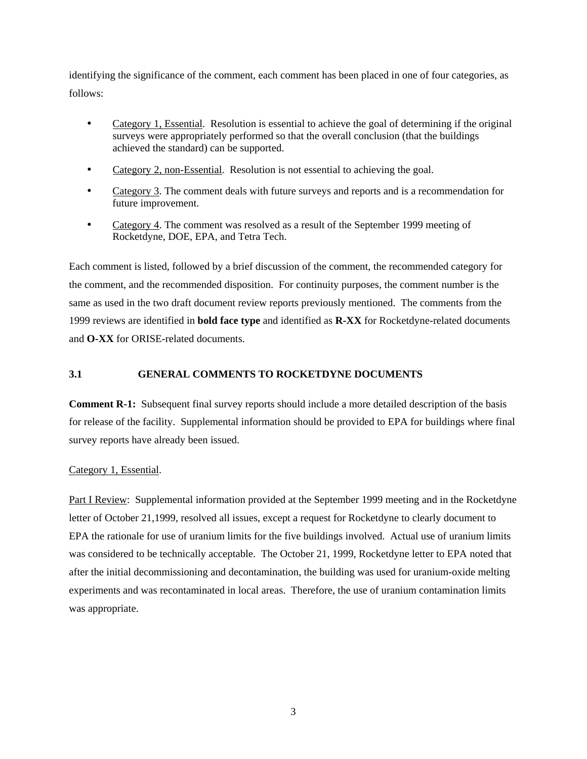identifying the significance of the comment, each comment has been placed in one of four categories, as follows:

- Category 1, Essential. Resolution is essential to achieve the goal of determining if the original surveys were appropriately performed so that the overall conclusion (that the buildings achieved the standard) can be supported.
- Category 2, non-Essential. Resolution is not essential to achieving the goal.
- Category 3. The comment deals with future surveys and reports and is a recommendation for future improvement.
- Category 4. The comment was resolved as a result of the September 1999 meeting of Rocketdyne, DOE, EPA, and Tetra Tech.

Each comment is listed, followed by a brief discussion of the comment, the recommended category for the comment, and the recommended disposition. For continuity purposes, the comment number is the same as used in the two draft document review reports previously mentioned. The comments from the 1999 reviews are identified in **bold face type** and identified as **R-XX** for Rocketdyne-related documents and **O-XX** for ORISE-related documents.

# <span id="page-7-0"></span>**3.1 GENERAL COMMENTS TO ROCKETDYNE DOCUMENTS**

**Comment R-1:** Subsequent final survey reports should include a more detailed description of the basis for release of the facility. Supplemental information should be provided to EPA for buildings where final survey reports have already been issued.

# Category 1, Essential.

Part I Review: Supplemental information provided at the September 1999 meeting and in the Rocketdyne letter of October 21,1999, resolved all issues, except a request for Rocketdyne to clearly document to EPA the rationale for use of uranium limits for the five buildings involved. Actual use of uranium limits was considered to be technically acceptable. The October 21, 1999, Rocketdyne letter to EPA noted that after the initial decommissioning and decontamination, the building was used for uranium-oxide melting experiments and was recontaminated in local areas. Therefore, the use of uranium contamination limits was appropriate.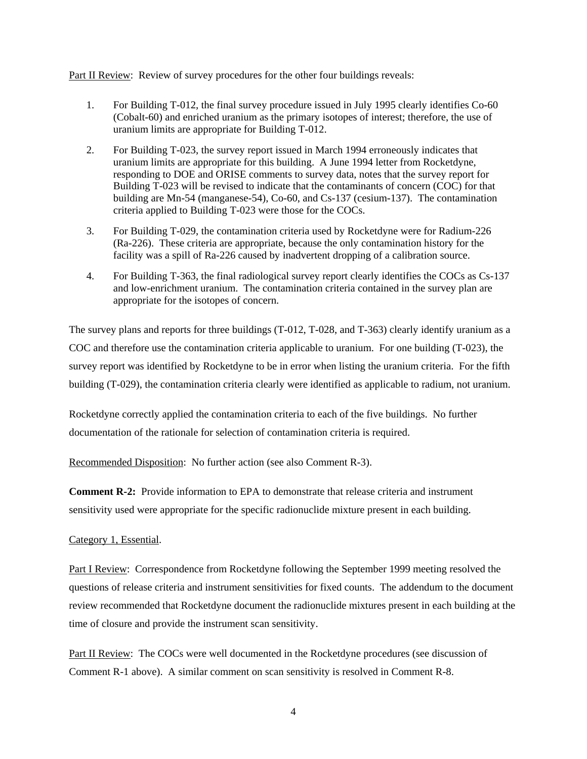Part II Review: Review of survey procedures for the other four buildings reveals:

- 1. For Building T-012, the final survey procedure issued in July 1995 clearly identifies Co-60 (Cobalt-60) and enriched uranium as the primary isotopes of interest; therefore, the use of uranium limits are appropriate for Building T-012.
- 2. For Building T-023, the survey report issued in March 1994 erroneously indicates that uranium limits are appropriate for this building. A June 1994 letter from Rocketdyne, responding to DOE and ORISE comments to survey data, notes that the survey report for Building T-023 will be revised to indicate that the contaminants of concern (COC) for that building are Mn-54 (manganese-54), Co-60, and Cs-137 (cesium-137). The contamination criteria applied to Building T-023 were those for the COCs.
- 3. For Building T-029, the contamination criteria used by Rocketdyne were for Radium-226 (Ra-226). These criteria are appropriate, because the only contamination history for the facility was a spill of Ra-226 caused by inadvertent dropping of a calibration source.
- 4. For Building T-363, the final radiological survey report clearly identifies the COCs as Cs-137 and low-enrichment uranium. The contamination criteria contained in the survey plan are appropriate for the isotopes of concern.

The survey plans and reports for three buildings (T-012, T-028, and T-363) clearly identify uranium as a COC and therefore use the contamination criteria applicable to uranium. For one building (T-023), the survey report was identified by Rocketdyne to be in error when listing the uranium criteria. For the fifth building (T-029), the contamination criteria clearly were identified as applicable to radium, not uranium.

Rocketdyne correctly applied the contamination criteria to each of the five buildings. No further documentation of the rationale for selection of contamination criteria is required.

Recommended Disposition: No further action (see also Comment R-3).

**Comment R-2:** Provide information to EPA to demonstrate that release criteria and instrument sensitivity used were appropriate for the specific radionuclide mixture present in each building.

Category 1, Essential.

Part I Review: Correspondence from Rocketdyne following the September 1999 meeting resolved the questions of release criteria and instrument sensitivities for fixed counts. The addendum to the document review recommended that Rocketdyne document the radionuclide mixtures present in each building at the time of closure and provide the instrument scan sensitivity.

Part II Review: The COCs were well documented in the Rocketdyne procedures (see discussion of Comment R-1 above). A similar comment on scan sensitivity is resolved in Comment R-8.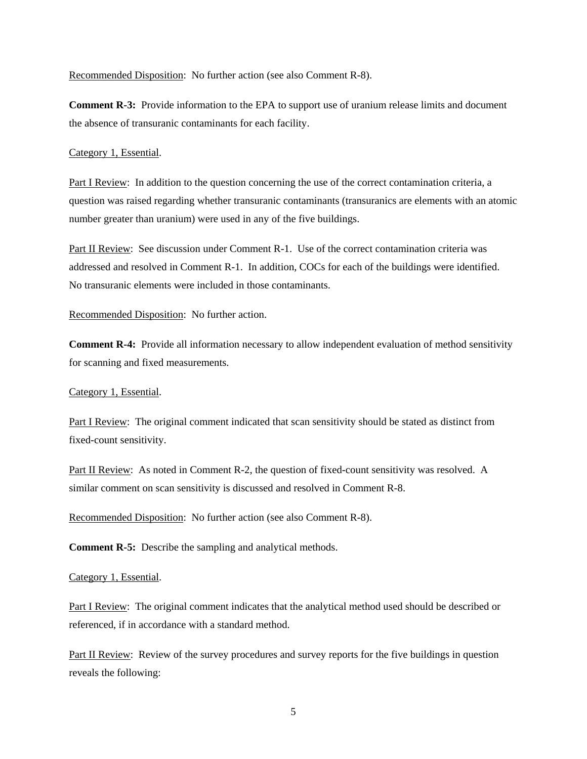Recommended Disposition: No further action (see also Comment R-8).

**Comment R-3:** Provide information to the EPA to support use of uranium release limits and document the absence of transuranic contaminants for each facility.

#### Category 1, Essential.

Part I Review: In addition to the question concerning the use of the correct contamination criteria, a question was raised regarding whether transuranic contaminants (transuranics are elements with an atomic number greater than uranium) were used in any of the five buildings.

Part II Review: See discussion under Comment R-1. Use of the correct contamination criteria was addressed and resolved in Comment R-1. In addition, COCs for each of the buildings were identified. No transuranic elements were included in those contaminants.

#### Recommended Disposition: No further action.

**Comment R-4:** Provide all information necessary to allow independent evaluation of method sensitivity for scanning and fixed measurements.

#### Category 1, Essential.

Part I Review: The original comment indicated that scan sensitivity should be stated as distinct from fixed-count sensitivity.

Part II Review: As noted in Comment R-2, the question of fixed-count sensitivity was resolved. A similar comment on scan sensitivity is discussed and resolved in Comment R-8.

Recommended Disposition: No further action (see also Comment R-8).

**Comment R-5:** Describe the sampling and analytical methods.

## Category 1, Essential.

Part I Review: The original comment indicates that the analytical method used should be described or referenced, if in accordance with a standard method.

Part II Review: Review of the survey procedures and survey reports for the five buildings in question reveals the following: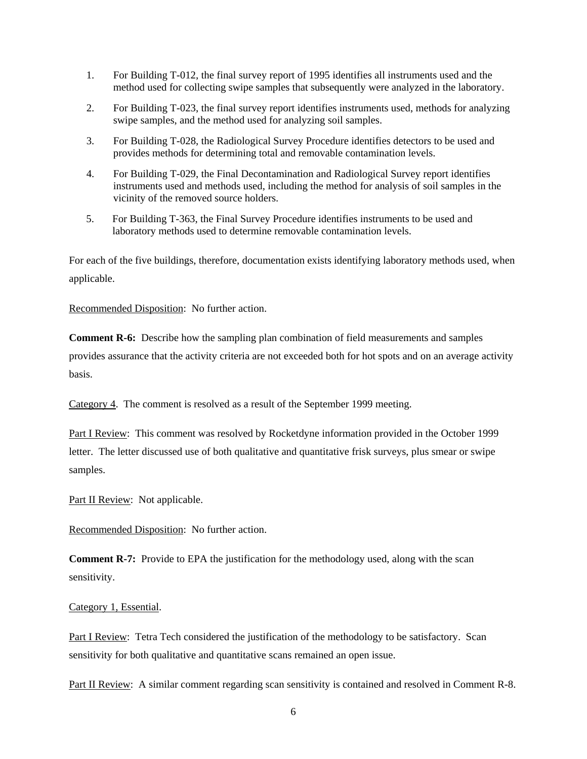- 1. For Building T-012, the final survey report of 1995 identifies all instruments used and the method used for collecting swipe samples that subsequently were analyzed in the laboratory.
- 2. For Building T-023, the final survey report identifies instruments used, methods for analyzing swipe samples, and the method used for analyzing soil samples.
- 3. For Building T-028, the Radiological Survey Procedure identifies detectors to be used and provides methods for determining total and removable contamination levels.
- 4. For Building T-029, the Final Decontamination and Radiological Survey report identifies instruments used and methods used, including the method for analysis of soil samples in the vicinity of the removed source holders.
- 5. For Building T-363, the Final Survey Procedure identifies instruments to be used and laboratory methods used to determine removable contamination levels.

For each of the five buildings, therefore, documentation exists identifying laboratory methods used, when applicable.

Recommended Disposition: No further action.

**Comment R-6:** Describe how the sampling plan combination of field measurements and samples provides assurance that the activity criteria are not exceeded both for hot spots and on an average activity basis.

Category 4. The comment is resolved as a result of the September 1999 meeting.

Part I Review: This comment was resolved by Rocketdyne information provided in the October 1999 letter. The letter discussed use of both qualitative and quantitative frisk surveys, plus smear or swipe samples.

Part II Review: Not applicable.

Recommended Disposition: No further action.

**Comment R-7:** Provide to EPA the justification for the methodology used, along with the scan sensitivity.

## Category 1, Essential.

Part I Review: Tetra Tech considered the justification of the methodology to be satisfactory. Scan sensitivity for both qualitative and quantitative scans remained an open issue.

Part II Review: A similar comment regarding scan sensitivity is contained and resolved in Comment R-8.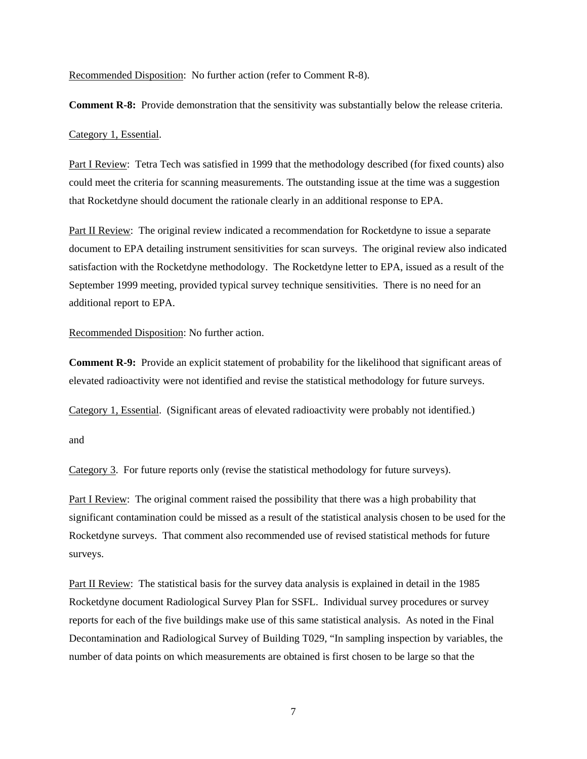Recommended Disposition: No further action (refer to Comment R-8).

**Comment R-8:** Provide demonstration that the sensitivity was substantially below the release criteria.

#### Category 1, Essential.

Part I Review: Tetra Tech was satisfied in 1999 that the methodology described (for fixed counts) also could meet the criteria for scanning measurements. The outstanding issue at the time was a suggestion that Rocketdyne should document the rationale clearly in an additional response to EPA.

Part II Review: The original review indicated a recommendation for Rocketdyne to issue a separate document to EPA detailing instrument sensitivities for scan surveys. The original review also indicated satisfaction with the Rocketdyne methodology. The Rocketdyne letter to EPA, issued as a result of the September 1999 meeting, provided typical survey technique sensitivities. There is no need for an additional report to EPA.

Recommended Disposition: No further action.

**Comment R-9:** Provide an explicit statement of probability for the likelihood that significant areas of elevated radioactivity were not identified and revise the statistical methodology for future surveys.

Category 1, Essential. (Significant areas of elevated radioactivity were probably not identified.)

and

Category 3. For future reports only (revise the statistical methodology for future surveys).

Part I Review: The original comment raised the possibility that there was a high probability that significant contamination could be missed as a result of the statistical analysis chosen to be used for the Rocketdyne surveys. That comment also recommended use of revised statistical methods for future surveys.

Part II Review: The statistical basis for the survey data analysis is explained in detail in the 1985 Rocketdyne document Radiological Survey Plan for SSFL. Individual survey procedures or survey reports for each of the five buildings make use of this same statistical analysis. As noted in the Final Decontamination and Radiological Survey of Building T029, "In sampling inspection by variables, the number of data points on which measurements are obtained is first chosen to be large so that the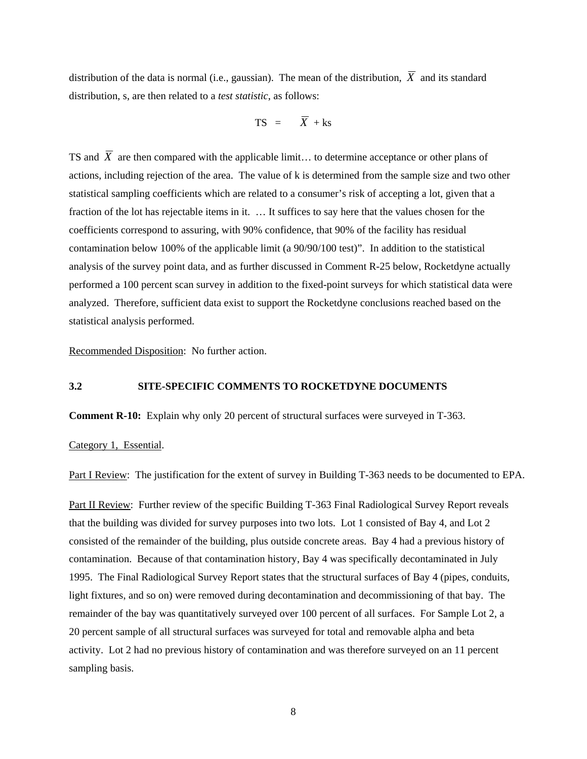distribution of the data is normal (i.e., gaussian). The mean of the distribution,  $\overline{X}$  and its standard distribution, s, are then related to a *test statistic*, as follows:

$$
TS = \overline{X} + ks
$$

TS and  $\overline{X}$  are then compared with the applicable limit... to determine acceptance or other plans of actions, including rejection of the area. The value of k is determined from the sample size and two other statistical sampling coefficients which are related to a consumer's risk of accepting a lot, given that a fraction of the lot has rejectable items in it. … It suffices to say here that the values chosen for the coefficients correspond to assuring, with 90% confidence, that 90% of the facility has residual contamination below 100% of the applicable limit (a 90/90/100 test)". In addition to the statistical analysis of the survey point data, and as further discussed in Comment R-25 below, Rocketdyne actually performed a 100 percent scan survey in addition to the fixed-point surveys for which statistical data were analyzed. Therefore, sufficient data exist to support the Rocketdyne conclusions reached based on the statistical analysis performed.

Recommended Disposition: No further action.

# <span id="page-12-0"></span>**3.2 SITE-SPECIFIC COMMENTS TO ROCKETDYNE DOCUMENTS**

**Comment R-10:** Explain why only 20 percent of structural surfaces were surveyed in T-363.

## Category 1, Essential.

Part I Review: The justification for the extent of survey in Building T-363 needs to be documented to EPA.

Part II Review: Further review of the specific Building T-363 Final Radiological Survey Report reveals that the building was divided for survey purposes into two lots. Lot 1 consisted of Bay 4, and Lot 2 consisted of the remainder of the building, plus outside concrete areas. Bay 4 had a previous history of contamination. Because of that contamination history, Bay 4 was specifically decontaminated in July 1995. The Final Radiological Survey Report states that the structural surfaces of Bay 4 (pipes, conduits, light fixtures, and so on) were removed during decontamination and decommissioning of that bay. The remainder of the bay was quantitatively surveyed over 100 percent of all surfaces. For Sample Lot 2, a 20 percent sample of all structural surfaces was surveyed for total and removable alpha and beta activity. Lot 2 had no previous history of contamination and was therefore surveyed on an 11 percent sampling basis.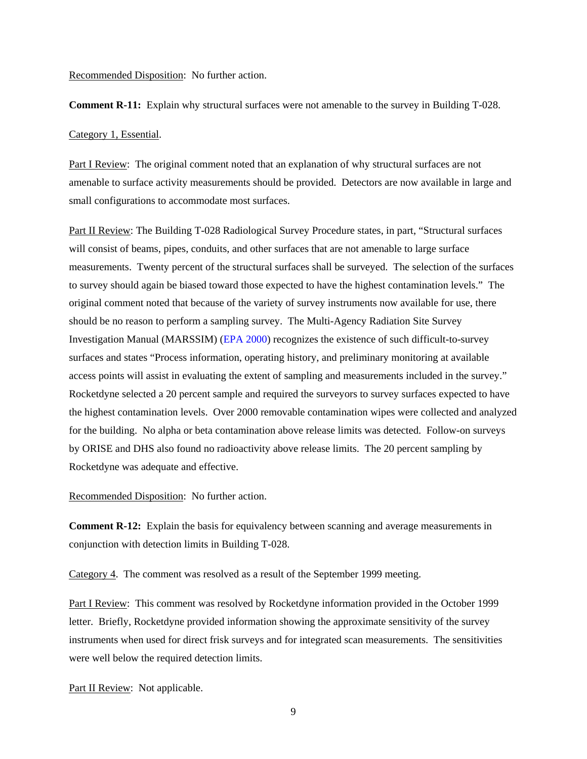**Comment R-11:** Explain why structural surfaces were not amenable to the survey in Building T-028.

#### Category 1, Essential.

Part I Review: The original comment noted that an explanation of why structural surfaces are not amenable to surface activity measurements should be provided. Detectors are now available in large and small configurations to accommodate most surfaces.

Part II Review: The Building T-028 Radiological Survey Procedure states, in part, "Structural surfaces will consist of beams, pipes, conduits, and other surfaces that are not amenable to large surface measurements. Twenty percent of the structural surfaces shall be surveyed. The selection of the surfaces to survey should again be biased toward those expected to have the highest contamination levels." The original comment noted that because of the variety of survey instruments now available for use, there should be no reason to perform a sampling survey. The Multi-Agency Radiation Site Survey Investigation Manual (MARSSIM) [\(EPA 2000\)](#page-27-1) recognizes the existence of such difficult-to-survey surfaces and states "Process information, operating history, and preliminary monitoring at available access points will assist in evaluating the extent of sampling and measurements included in the survey." Rocketdyne selected a 20 percent sample and required the surveyors to survey surfaces expected to have the highest contamination levels. Over 2000 removable contamination wipes were collected and analyzed for the building. No alpha or beta contamination above release limits was detected. Follow-on surveys by ORISE and DHS also found no radioactivity above release limits. The 20 percent sampling by Rocketdyne was adequate and effective.

# Recommended Disposition: No further action.

**Comment R-12:** Explain the basis for equivalency between scanning and average measurements in conjunction with detection limits in Building T-028.

Category 4. The comment was resolved as a result of the September 1999 meeting.

Part I Review: This comment was resolved by Rocketdyne information provided in the October 1999 letter. Briefly, Rocketdyne provided information showing the approximate sensitivity of the survey instruments when used for direct frisk surveys and for integrated scan measurements. The sensitivities were well below the required detection limits.

Part II Review: Not applicable.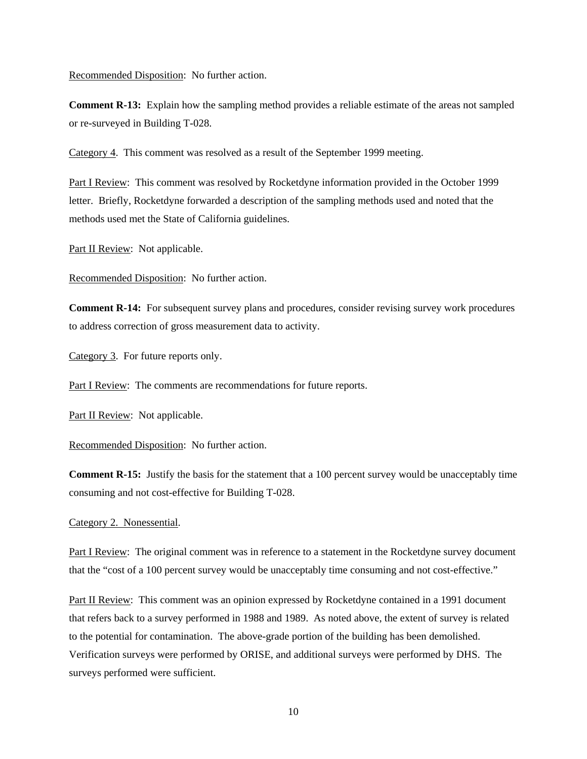**Comment R-13:** Explain how the sampling method provides a reliable estimate of the areas not sampled or re-surveyed in Building T-028.

Category 4. This comment was resolved as a result of the September 1999 meeting.

Part I Review: This comment was resolved by Rocketdyne information provided in the October 1999 letter. Briefly, Rocketdyne forwarded a description of the sampling methods used and noted that the methods used met the State of California guidelines.

Part II Review: Not applicable.

Recommended Disposition: No further action.

**Comment R-14:** For subsequent survey plans and procedures, consider revising survey work procedures to address correction of gross measurement data to activity.

Category 3. For future reports only.

Part I Review: The comments are recommendations for future reports.

Part II Review: Not applicable.

Recommended Disposition: No further action.

**Comment R-15:** Justify the basis for the statement that a 100 percent survey would be unacceptably time consuming and not cost-effective for Building T-028.

# Category 2. Nonessential.

Part I Review: The original comment was in reference to a statement in the Rocketdyne survey document that the "cost of a 100 percent survey would be unacceptably time consuming and not cost-effective."

Part II Review: This comment was an opinion expressed by Rocketdyne contained in a 1991 document that refers back to a survey performed in 1988 and 1989. As noted above, the extent of survey is related to the potential for contamination. The above-grade portion of the building has been demolished. Verification surveys were performed by ORISE, and additional surveys were performed by DHS. The surveys performed were sufficient.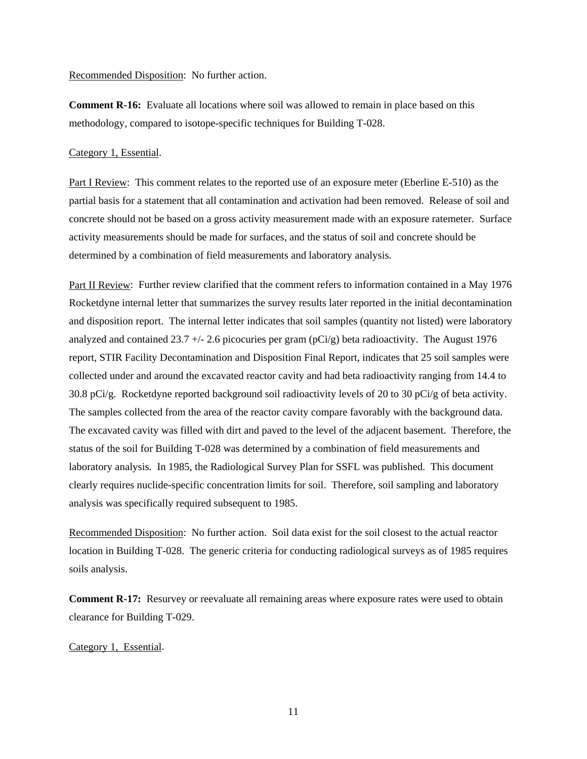**Comment R-16:** Evaluate all locations where soil was allowed to remain in place based on this methodology, compared to isotope-specific techniques for Building T-028.

# Category 1, Essential.

Part I Review: This comment relates to the reported use of an exposure meter (Eberline E-510) as the partial basis for a statement that all contamination and activation had been removed. Release of soil and concrete should not be based on a gross activity measurement made with an exposure ratemeter. Surface activity measurements should be made for surfaces, and the status of soil and concrete should be determined by a combination of field measurements and laboratory analysis.

Part II Review: Further review clarified that the comment refers to information contained in a May 1976 Rocketdyne internal letter that summarizes the survey results later reported in the initial decontamination and disposition report. The internal letter indicates that soil samples (quantity not listed) were laboratory analyzed and contained  $23.7 + (-2.6$  picocuries per gram (pCi/g) beta radioactivity. The August 1976 report, STIR Facility Decontamination and Disposition Final Report, indicates that 25 soil samples were collected under and around the excavated reactor cavity and had beta radioactivity ranging from 14.4 to 30.8 pCi/g. Rocketdyne reported background soil radioactivity levels of 20 to 30 pCi/g of beta activity. The samples collected from the area of the reactor cavity compare favorably with the background data. The excavated cavity was filled with dirt and paved to the level of the adjacent basement. Therefore, the status of the soil for Building T-028 was determined by a combination of field measurements and laboratory analysis. In 1985, the Radiological Survey Plan for SSFL was published. This document clearly requires nuclide-specific concentration limits for soil. Therefore, soil sampling and laboratory analysis was specifically required subsequent to 1985.

Recommended Disposition: No further action. Soil data exist for the soil closest to the actual reactor location in Building T-028. The generic criteria for conducting radiological surveys as of 1985 requires soils analysis.

**Comment R-17:** Resurvey or reevaluate all remaining areas where exposure rates were used to obtain clearance for Building T-029.

Category 1, Essential.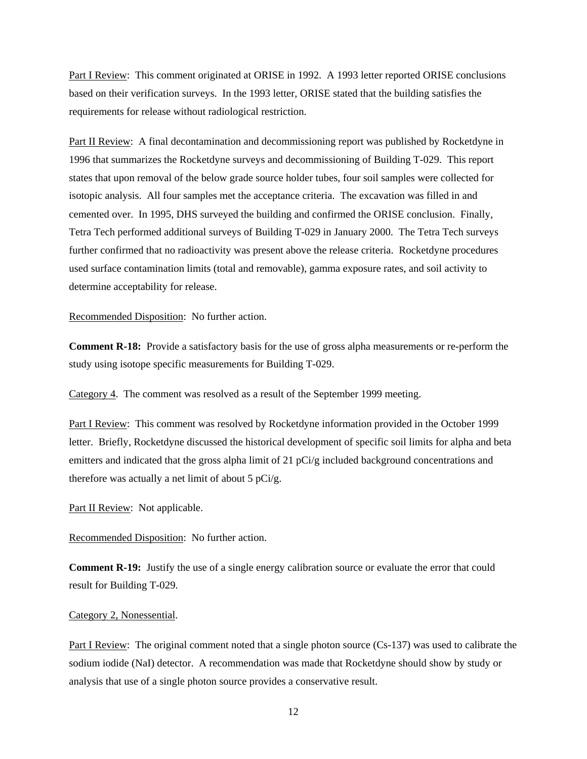Part I Review: This comment originated at ORISE in 1992. A 1993 letter reported ORISE conclusions based on their verification surveys. In the 1993 letter, ORISE stated that the building satisfies the requirements for release without radiological restriction.

Part II Review: A final decontamination and decommissioning report was published by Rocketdyne in 1996 that summarizes the Rocketdyne surveys and decommissioning of Building T-029. This report states that upon removal of the below grade source holder tubes, four soil samples were collected for isotopic analysis. All four samples met the acceptance criteria. The excavation was filled in and cemented over. In 1995, DHS surveyed the building and confirmed the ORISE conclusion. Finally, Tetra Tech performed additional surveys of Building T-029 in January 2000. The Tetra Tech surveys further confirmed that no radioactivity was present above the release criteria. Rocketdyne procedures used surface contamination limits (total and removable), gamma exposure rates, and soil activity to determine acceptability for release.

Recommended Disposition: No further action.

**Comment R-18:** Provide a satisfactory basis for the use of gross alpha measurements or re-perform the study using isotope specific measurements for Building T-029.

Category 4. The comment was resolved as a result of the September 1999 meeting.

Part I Review: This comment was resolved by Rocketdyne information provided in the October 1999 letter. Briefly, Rocketdyne discussed the historical development of specific soil limits for alpha and beta emitters and indicated that the gross alpha limit of 21 pCi/g included background concentrations and therefore was actually a net limit of about 5  $pCi/g$ .

Part II Review: Not applicable.

Recommended Disposition: No further action.

**Comment R-19:** Justify the use of a single energy calibration source or evaluate the error that could result for Building T-029.

# Category 2, Nonessential.

Part I Review: The original comment noted that a single photon source (Cs-137) was used to calibrate the sodium iodide (NaI) detector. A recommendation was made that Rocketdyne should show by study or analysis that use of a single photon source provides a conservative result.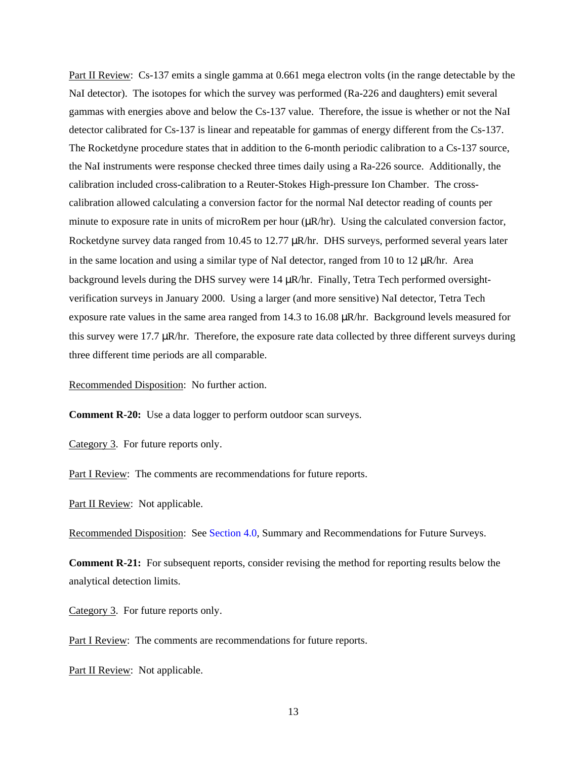Part II Review: Cs-137 emits a single gamma at 0.661 mega electron volts (in the range detectable by the NaI detector). The isotopes for which the survey was performed (Ra-226 and daughters) emit several gammas with energies above and below the Cs-137 value. Therefore, the issue is whether or not the NaI detector calibrated for Cs-137 is linear and repeatable for gammas of energy different from the Cs-137. The Rocketdyne procedure states that in addition to the 6-month periodic calibration to a Cs-137 source, the NaI instruments were response checked three times daily using a Ra-226 source. Additionally, the calibration included cross-calibration to a Reuter-Stokes High-pressure Ion Chamber. The crosscalibration allowed calculating a conversion factor for the normal NaI detector reading of counts per minute to exposure rate in units of microRem per hour  $(\mu R/hr)$ . Using the calculated conversion factor, Rocketdyne survey data ranged from 10.45 to 12.77  $\mu$ R/hr. DHS surveys, performed several years later in the same location and using a similar type of NaI detector, ranged from 10 to 12  $\mu$ R/hr. Area background levels during the DHS survey were 14  $\mu$ R/hr. Finally, Tetra Tech performed oversightverification surveys in January 2000. Using a larger (and more sensitive) NaI detector, Tetra Tech exposure rate values in the same area ranged from 14.3 to 16.08 µR/hr. Background levels measured for this survey were 17.7 µR/hr. Therefore, the exposure rate data collected by three different surveys during three different time periods are all comparable.

Recommended Disposition: No further action.

**Comment R-20:** Use a data logger to perform outdoor scan surveys.

Category 3. For future reports only.

Part I Review: The comments are recommendations for future reports.

Part II Review: Not applicable.

Recommended Disposition: See [Section 4.0,](#page-26-0) Summary and Recommendations for Future Surveys.

**Comment R-21:** For subsequent reports, consider revising the method for reporting results below the analytical detection limits.

Category 3. For future reports only.

Part I Review: The comments are recommendations for future reports.

Part II Review: Not applicable.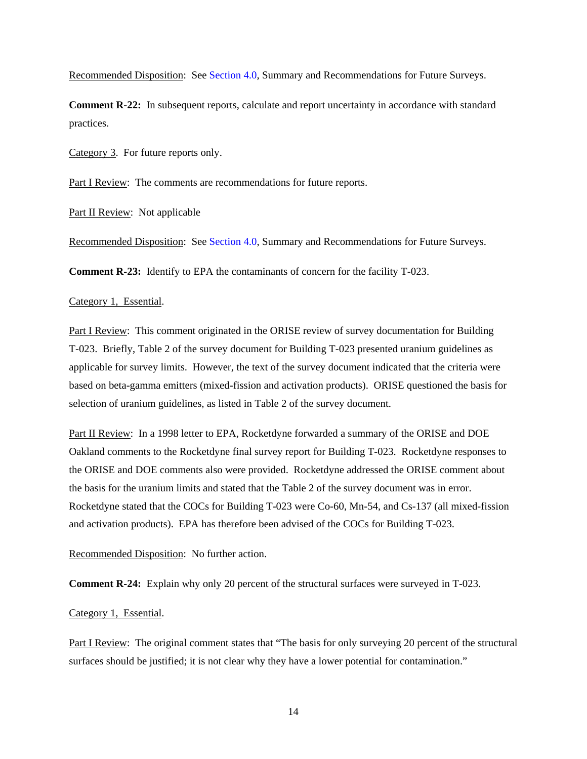Recommended Disposition: See [Section 4.0,](#page-26-0) Summary and Recommendations for Future Surveys.

**Comment R-22:** In subsequent reports, calculate and report uncertainty in accordance with standard practices.

Category 3. For future reports only.

Part I Review: The comments are recommendations for future reports.

Part II Review: Not applicable

Recommended Disposition: See [Section 4.0,](#page-26-0) Summary and Recommendations for Future Surveys.

**Comment R-23:** Identify to EPA the contaminants of concern for the facility T-023.

## Category 1, Essential.

Part I Review: This comment originated in the ORISE review of survey documentation for Building T-023. Briefly, Table 2 of the survey document for Building T-023 presented uranium guidelines as applicable for survey limits. However, the text of the survey document indicated that the criteria were based on beta-gamma emitters (mixed-fission and activation products). ORISE questioned the basis for selection of uranium guidelines, as listed in Table 2 of the survey document.

Part II Review: In a 1998 letter to EPA, Rocketdyne forwarded a summary of the ORISE and DOE Oakland comments to the Rocketdyne final survey report for Building T-023. Rocketdyne responses to the ORISE and DOE comments also were provided. Rocketdyne addressed the ORISE comment about the basis for the uranium limits and stated that the Table 2 of the survey document was in error. Rocketdyne stated that the COCs for Building T-023 were Co-60, Mn-54, and Cs-137 (all mixed-fission and activation products). EPA has therefore been advised of the COCs for Building T-023.

Recommended Disposition: No further action.

**Comment R-24:** Explain why only 20 percent of the structural surfaces were surveyed in T-023.

# Category 1, Essential.

Part I Review: The original comment states that "The basis for only surveying 20 percent of the structural surfaces should be justified; it is not clear why they have a lower potential for contamination."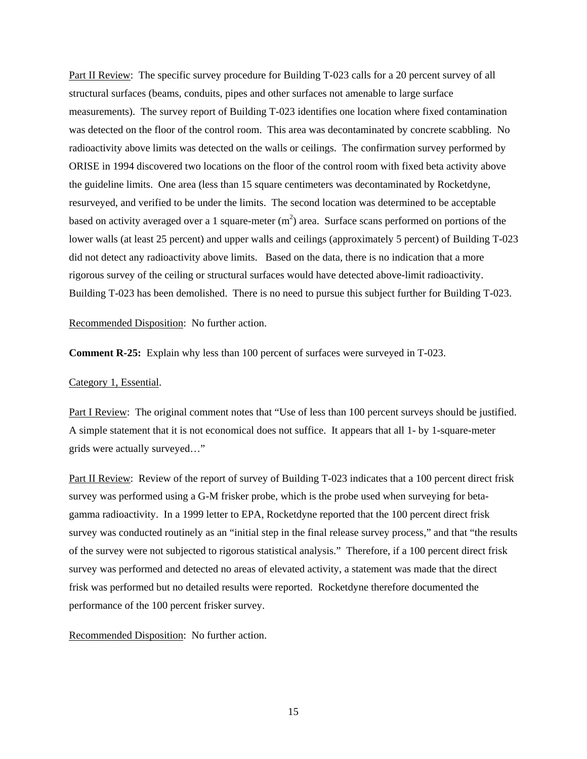Part II Review: The specific survey procedure for Building T-023 calls for a 20 percent survey of all structural surfaces (beams, conduits, pipes and other surfaces not amenable to large surface measurements). The survey report of Building T-023 identifies one location where fixed contamination was detected on the floor of the control room. This area was decontaminated by concrete scabbling. No radioactivity above limits was detected on the walls or ceilings. The confirmation survey performed by ORISE in 1994 discovered two locations on the floor of the control room with fixed beta activity above the guideline limits. One area (less than 15 square centimeters was decontaminated by Rocketdyne, resurveyed, and verified to be under the limits. The second location was determined to be acceptable based on activity averaged over a 1 square-meter  $(m^2)$  area. Surface scans performed on portions of the lower walls (at least 25 percent) and upper walls and ceilings (approximately 5 percent) of Building T-023 did not detect any radioactivity above limits. Based on the data, there is no indication that a more rigorous survey of the ceiling or structural surfaces would have detected above-limit radioactivity. Building T-023 has been demolished. There is no need to pursue this subject further for Building T-023.

Recommended Disposition: No further action.

**Comment R-25:** Explain why less than 100 percent of surfaces were surveyed in T-023.

## Category 1, Essential.

Part I Review: The original comment notes that "Use of less than 100 percent surveys should be justified. A simple statement that it is not economical does not suffice. It appears that all 1- by 1-square-meter grids were actually surveyed…"

Part II Review: Review of the report of survey of Building T-023 indicates that a 100 percent direct frisk survey was performed using a G-M frisker probe, which is the probe used when surveying for betagamma radioactivity. In a 1999 letter to EPA, Rocketdyne reported that the 100 percent direct frisk survey was conducted routinely as an "initial step in the final release survey process," and that "the results of the survey were not subjected to rigorous statistical analysis." Therefore, if a 100 percent direct frisk survey was performed and detected no areas of elevated activity, a statement was made that the direct frisk was performed but no detailed results were reported. Rocketdyne therefore documented the performance of the 100 percent frisker survey.

Recommended Disposition: No further action.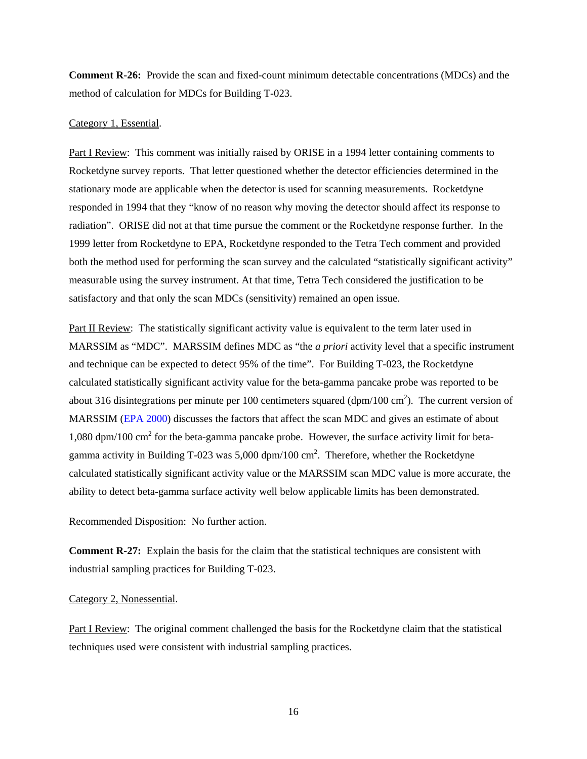**Comment R-26:** Provide the scan and fixed-count minimum detectable concentrations (MDCs) and the method of calculation for MDCs for Building T-023.

## Category 1, Essential.

Part I Review: This comment was initially raised by ORISE in a 1994 letter containing comments to Rocketdyne survey reports. That letter questioned whether the detector efficiencies determined in the stationary mode are applicable when the detector is used for scanning measurements. Rocketdyne responded in 1994 that they "know of no reason why moving the detector should affect its response to radiation". ORISE did not at that time pursue the comment or the Rocketdyne response further. In the 1999 letter from Rocketdyne to EPA, Rocketdyne responded to the Tetra Tech comment and provided both the method used for performing the scan survey and the calculated "statistically significant activity" measurable using the survey instrument. At that time, Tetra Tech considered the justification to be satisfactory and that only the scan MDCs (sensitivity) remained an open issue.

Part II Review: The statistically significant activity value is equivalent to the term later used in MARSSIM as "MDC". MARSSIM defines MDC as "the *a priori* activity level that a specific instrument and technique can be expected to detect 95% of the time". For Building T-023, the Rocketdyne calculated statistically significant activity value for the beta-gamma pancake probe was reported to be about 316 disintegrations per minute per 100 centimeters squared  $(dpm/100 \text{ cm}^2)$ . The current version of MARSSIM [\(EPA 2000\)](#page-27-1) discusses the factors that affect the scan MDC and gives an estimate of about 1,080 dpm/100 cm<sup>2</sup> for the beta-gamma pancake probe. However, the surface activity limit for betagamma activity in Building T-023 was  $5,000$  dpm/100 cm<sup>2</sup>. Therefore, whether the Rocketdyne calculated statistically significant activity value or the MARSSIM scan MDC value is more accurate, the ability to detect beta-gamma surface activity well below applicable limits has been demonstrated.

Recommended Disposition: No further action.

**Comment R-27:** Explain the basis for the claim that the statistical techniques are consistent with industrial sampling practices for Building T-023.

#### Category 2, Nonessential.

Part I Review: The original comment challenged the basis for the Rocketdyne claim that the statistical techniques used were consistent with industrial sampling practices.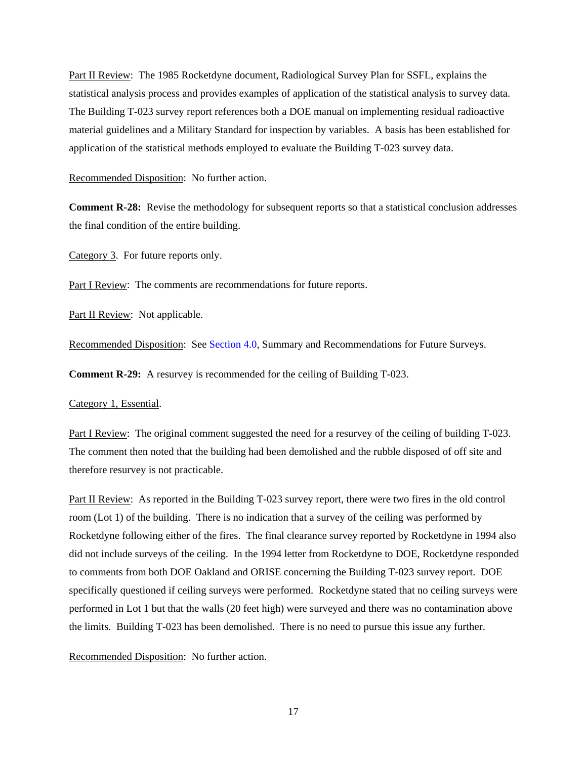Part II Review: The 1985 Rocketdyne document, Radiological Survey Plan for SSFL, explains the statistical analysis process and provides examples of application of the statistical analysis to survey data. The Building T-023 survey report references both a DOE manual on implementing residual radioactive material guidelines and a Military Standard for inspection by variables. A basis has been established for application of the statistical methods employed to evaluate the Building T-023 survey data.

Recommended Disposition: No further action.

**Comment R-28:** Revise the methodology for subsequent reports so that a statistical conclusion addresses the final condition of the entire building.

Category 3. For future reports only.

Part I Review: The comments are recommendations for future reports.

Part II Review: Not applicable.

Recommended Disposition: See [Section 4.0,](#page-26-0) Summary and Recommendations for Future Surveys.

**Comment R-29:** A resurvey is recommended for the ceiling of Building T-023.

Category 1, Essential.

Part I Review: The original comment suggested the need for a resurvey of the ceiling of building T-023. The comment then noted that the building had been demolished and the rubble disposed of off site and therefore resurvey is not practicable.

Part II Review: As reported in the Building T-023 survey report, there were two fires in the old control room (Lot 1) of the building. There is no indication that a survey of the ceiling was performed by Rocketdyne following either of the fires. The final clearance survey reported by Rocketdyne in 1994 also did not include surveys of the ceiling. In the 1994 letter from Rocketdyne to DOE, Rocketdyne responded to comments from both DOE Oakland and ORISE concerning the Building T-023 survey report. DOE specifically questioned if ceiling surveys were performed. Rocketdyne stated that no ceiling surveys were performed in Lot 1 but that the walls (20 feet high) were surveyed and there was no contamination above the limits. Building T-023 has been demolished. There is no need to pursue this issue any further.

Recommended Disposition: No further action.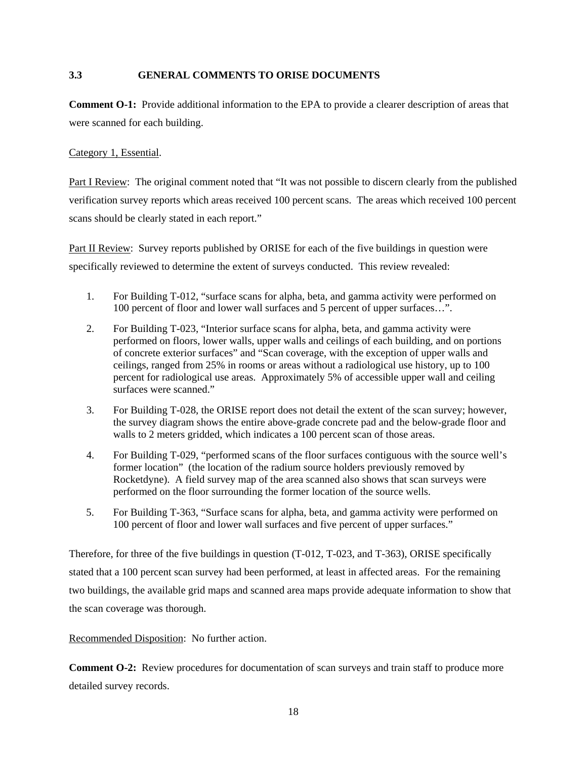# <span id="page-22-0"></span>**3.3 GENERAL COMMENTS TO ORISE DOCUMENTS**

**Comment O-1:** Provide additional information to the EPA to provide a clearer description of areas that were scanned for each building.

Category 1, Essential.

Part I Review: The original comment noted that "It was not possible to discern clearly from the published verification survey reports which areas received 100 percent scans. The areas which received 100 percent scans should be clearly stated in each report."

Part II Review: Survey reports published by ORISE for each of the five buildings in question were specifically reviewed to determine the extent of surveys conducted. This review revealed:

- 1. For Building T-012, "surface scans for alpha, beta, and gamma activity were performed on 100 percent of floor and lower wall surfaces and 5 percent of upper surfaces…".
- 2. For Building T-023, "Interior surface scans for alpha, beta, and gamma activity were performed on floors, lower walls, upper walls and ceilings of each building, and on portions of concrete exterior surfaces" and "Scan coverage, with the exception of upper walls and ceilings, ranged from 25% in rooms or areas without a radiological use history, up to 100 percent for radiological use areas. Approximately 5% of accessible upper wall and ceiling surfaces were scanned."
- 3. For Building T-028, the ORISE report does not detail the extent of the scan survey; however, the survey diagram shows the entire above-grade concrete pad and the below-grade floor and walls to 2 meters gridded, which indicates a 100 percent scan of those areas.
- 4. For Building T-029, "performed scans of the floor surfaces contiguous with the source well's former location" (the location of the radium source holders previously removed by Rocketdyne). A field survey map of the area scanned also shows that scan surveys were performed on the floor surrounding the former location of the source wells.
- 5. For Building T-363, "Surface scans for alpha, beta, and gamma activity were performed on 100 percent of floor and lower wall surfaces and five percent of upper surfaces."

Therefore, for three of the five buildings in question (T-012, T-023, and T-363), ORISE specifically stated that a 100 percent scan survey had been performed, at least in affected areas. For the remaining two buildings, the available grid maps and scanned area maps provide adequate information to show that the scan coverage was thorough.

Recommended Disposition: No further action.

**Comment O-2:** Review procedures for documentation of scan surveys and train staff to produce more detailed survey records.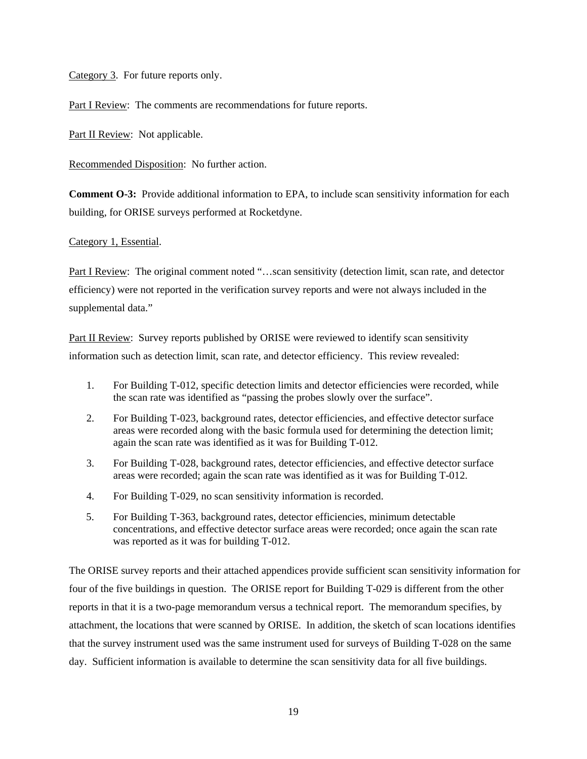Category 3. For future reports only.

Part I Review: The comments are recommendations for future reports.

Part II Review: Not applicable.

Recommended Disposition: No further action.

**Comment O-3:** Provide additional information to EPA, to include scan sensitivity information for each building, for ORISE surveys performed at Rocketdyne.

# Category 1, Essential.

Part I Review: The original comment noted "...scan sensitivity (detection limit, scan rate, and detector efficiency) were not reported in the verification survey reports and were not always included in the supplemental data."

Part II Review: Survey reports published by ORISE were reviewed to identify scan sensitivity information such as detection limit, scan rate, and detector efficiency. This review revealed:

- 1. For Building T-012, specific detection limits and detector efficiencies were recorded, while the scan rate was identified as "passing the probes slowly over the surface".
- 2. For Building T-023, background rates, detector efficiencies, and effective detector surface areas were recorded along with the basic formula used for determining the detection limit; again the scan rate was identified as it was for Building T-012.
- 3. For Building T-028, background rates, detector efficiencies, and effective detector surface areas were recorded; again the scan rate was identified as it was for Building T-012.
- 4. For Building T-029, no scan sensitivity information is recorded.
- 5. For Building T-363, background rates, detector efficiencies, minimum detectable concentrations, and effective detector surface areas were recorded; once again the scan rate was reported as it was for building T-012.

The ORISE survey reports and their attached appendices provide sufficient scan sensitivity information for four of the five buildings in question. The ORISE report for Building T-029 is different from the other reports in that it is a two-page memorandum versus a technical report. The memorandum specifies, by attachment, the locations that were scanned by ORISE. In addition, the sketch of scan locations identifies that the survey instrument used was the same instrument used for surveys of Building T-028 on the same day. Sufficient information is available to determine the scan sensitivity data for all five buildings.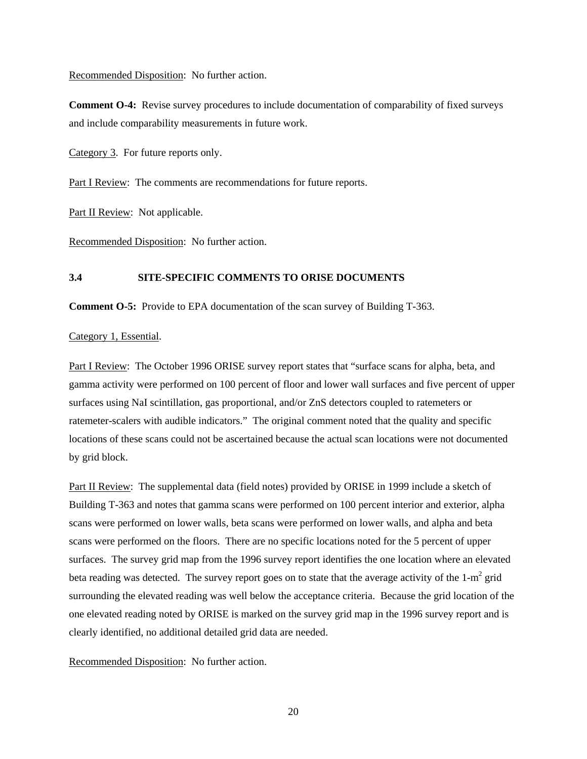**Comment O-4:** Revise survey procedures to include documentation of comparability of fixed surveys and include comparability measurements in future work.

Category 3. For future reports only.

Part I Review: The comments are recommendations for future reports.

Part II Review: Not applicable.

Recommended Disposition: No further action.

# <span id="page-24-0"></span>**3.4 SITE-SPECIFIC COMMENTS TO ORISE DOCUMENTS**

**Comment O-5:** Provide to EPA documentation of the scan survey of Building T-363.

# Category 1, Essential.

Part I Review: The October 1996 ORISE survey report states that "surface scans for alpha, beta, and gamma activity were performed on 100 percent of floor and lower wall surfaces and five percent of upper surfaces using NaI scintillation, gas proportional, and/or ZnS detectors coupled to ratemeters or ratemeter-scalers with audible indicators." The original comment noted that the quality and specific locations of these scans could not be ascertained because the actual scan locations were not documented by grid block.

Part II Review: The supplemental data (field notes) provided by ORISE in 1999 include a sketch of Building T-363 and notes that gamma scans were performed on 100 percent interior and exterior, alpha scans were performed on lower walls, beta scans were performed on lower walls, and alpha and beta scans were performed on the floors. There are no specific locations noted for the 5 percent of upper surfaces. The survey grid map from the 1996 survey report identifies the one location where an elevated beta reading was detected. The survey report goes on to state that the average activity of the  $1-m^2$  grid surrounding the elevated reading was well below the acceptance criteria. Because the grid location of the one elevated reading noted by ORISE is marked on the survey grid map in the 1996 survey report and is clearly identified, no additional detailed grid data are needed.

Recommended Disposition: No further action.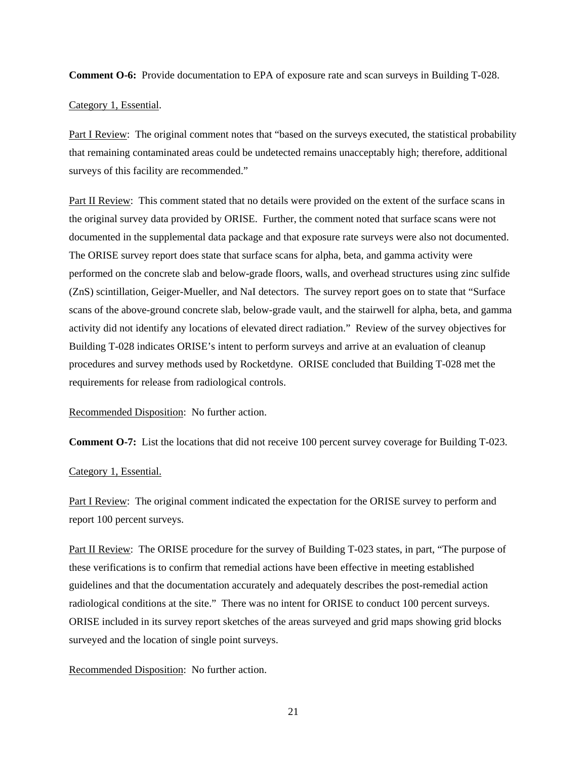**Comment O-6:** Provide documentation to EPA of exposure rate and scan surveys in Building T-028.

Category 1, Essential.

Part I Review: The original comment notes that "based on the surveys executed, the statistical probability that remaining contaminated areas could be undetected remains unacceptably high; therefore, additional surveys of this facility are recommended."

Part II Review: This comment stated that no details were provided on the extent of the surface scans in the original survey data provided by ORISE. Further, the comment noted that surface scans were not documented in the supplemental data package and that exposure rate surveys were also not documented. The ORISE survey report does state that surface scans for alpha, beta, and gamma activity were performed on the concrete slab and below-grade floors, walls, and overhead structures using zinc sulfide (ZnS) scintillation, Geiger-Mueller, and NaI detectors. The survey report goes on to state that "Surface scans of the above-ground concrete slab, below-grade vault, and the stairwell for alpha, beta, and gamma activity did not identify any locations of elevated direct radiation." Review of the survey objectives for Building T-028 indicates ORISE's intent to perform surveys and arrive at an evaluation of cleanup procedures and survey methods used by Rocketdyne. ORISE concluded that Building T-028 met the requirements for release from radiological controls.

Recommended Disposition: No further action.

**Comment O-7:** List the locations that did not receive 100 percent survey coverage for Building T-023.

# Category 1, Essential.

Part I Review: The original comment indicated the expectation for the ORISE survey to perform and report 100 percent surveys.

Part II Review: The ORISE procedure for the survey of Building T-023 states, in part, "The purpose of these verifications is to confirm that remedial actions have been effective in meeting established guidelines and that the documentation accurately and adequately describes the post-remedial action radiological conditions at the site." There was no intent for ORISE to conduct 100 percent surveys. ORISE included in its survey report sketches of the areas surveyed and grid maps showing grid blocks surveyed and the location of single point surveys.

#### Recommended Disposition: No further action.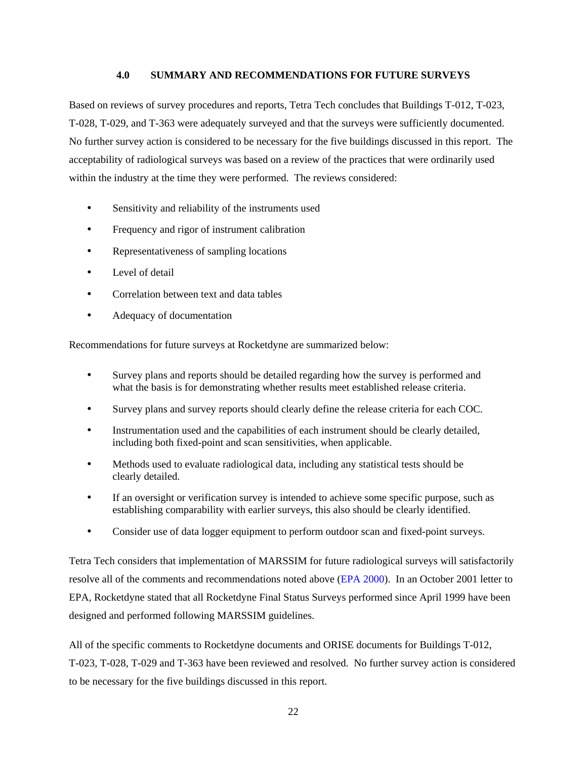# <span id="page-26-0"></span>**4.0 SUMMARY AND RECOMMENDATIONS FOR FUTURE SURVEYS**

Based on reviews of survey procedures and reports, Tetra Tech concludes that Buildings T-012, T-023, T-028, T-029, and T-363 were adequately surveyed and that the surveys were sufficiently documented. No further survey action is considered to be necessary for the five buildings discussed in this report. The acceptability of radiological surveys was based on a review of the practices that were ordinarily used within the industry at the time they were performed. The reviews considered:

- Sensitivity and reliability of the instruments used
- Frequency and rigor of instrument calibration
- Representativeness of sampling locations
- Level of detail
- Correlation between text and data tables
- Adequacy of documentation

Recommendations for future surveys at Rocketdyne are summarized below:

- Survey plans and reports should be detailed regarding how the survey is performed and what the basis is for demonstrating whether results meet established release criteria.
- Survey plans and survey reports should clearly define the release criteria for each COC.
- Instrumentation used and the capabilities of each instrument should be clearly detailed, including both fixed-point and scan sensitivities, when applicable.
- Methods used to evaluate radiological data, including any statistical tests should be clearly detailed.
- If an oversight or verification survey is intended to achieve some specific purpose, such as establishing comparability with earlier surveys, this also should be clearly identified.
- Consider use of data logger equipment to perform outdoor scan and fixed-point surveys.

Tetra Tech considers that implementation of MARSSIM for future radiological surveys will satisfactorily resolve all of the comments and recommendations noted above [\(EPA 2000\).](#page-27-1) In an October 2001 letter to EPA, Rocketdyne stated that all Rocketdyne Final Status Surveys performed since April 1999 have been designed and performed following MARSSIM guidelines.

All of the specific comments to Rocketdyne documents and ORISE documents for Buildings T-012, T-023, T-028, T-029 and T-363 have been reviewed and resolved. No further survey action is considered to be necessary for the five buildings discussed in this report.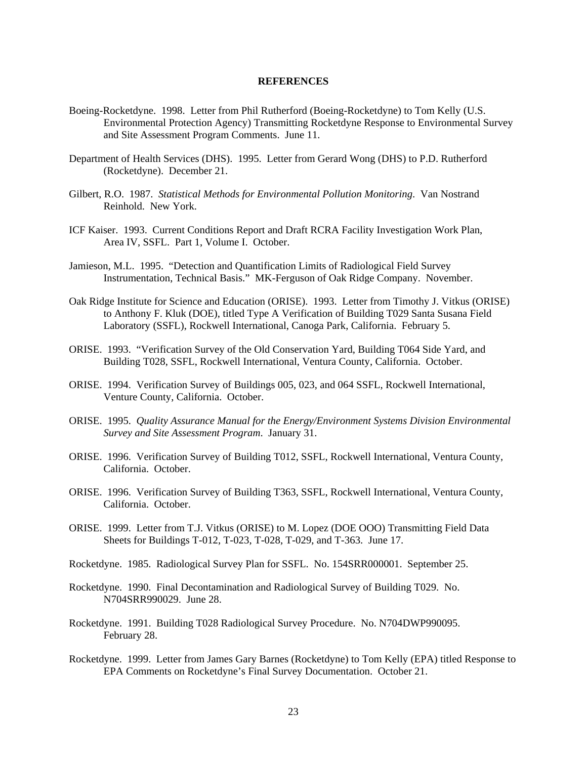#### <span id="page-27-0"></span>**REFERENCES**

- <span id="page-27-1"></span>Boeing-Rocketdyne. 1998. Letter from Phil Rutherford (Boeing-Rocketdyne) to Tom Kelly (U.S. Environmental Protection Agency) Transmitting Rocketdyne Response to Environmental Survey and Site Assessment Program Comments. June 11.
- Department of Health Services (DHS). 1995. Letter from Gerard Wong (DHS) to P.D. Rutherford (Rocketdyne). December 21.
- Gilbert, R.O. 1987. *Statistical Methods for Environmental Pollution Monitoring*. Van Nostrand Reinhold. New York.
- ICF Kaiser. 1993. Current Conditions Report and Draft RCRA Facility Investigation Work Plan, Area IV, SSFL. Part 1, Volume I. October.
- Jamieson, M.L. 1995. "Detection and Quantification Limits of Radiological Field Survey Instrumentation, Technical Basis." MK-Ferguson of Oak Ridge Company. November.
- Oak Ridge Institute for Science and Education (ORISE). 1993. Letter from Timothy J. Vitkus (ORISE) to Anthony F. Kluk (DOE), titled Type A Verification of Building T029 Santa Susana Field Laboratory (SSFL), Rockwell International, Canoga Park, California. February 5.
- ORISE. 1993. "Verification Survey of the Old Conservation Yard, Building T064 Side Yard, and Building T028, SSFL, Rockwell International, Ventura County, California. October.
- ORISE. 1994. Verification Survey of Buildings 005, 023, and 064 SSFL, Rockwell International, Venture County, California. October.
- ORISE. 1995. *Quality Assurance Manual for the Energy/Environment Systems Division Environmental Survey and Site Assessment Program*. January 31.
- ORISE. 1996. Verification Survey of Building T012, SSFL, Rockwell International, Ventura County, California. October.
- ORISE. 1996. Verification Survey of Building T363, SSFL, Rockwell International, Ventura County, California. October.
- ORISE. 1999. Letter from T.J. Vitkus (ORISE) to M. Lopez (DOE OOO) Transmitting Field Data Sheets for Buildings T-012, T-023, T-028, T-029, and T-363. June 17.
- Rocketdyne. 1985. Radiological Survey Plan for SSFL. No. 154SRR000001. September 25.
- Rocketdyne. 1990. Final Decontamination and Radiological Survey of Building T029. No. N704SRR990029. June 28.
- Rocketdyne. 1991. Building T028 Radiological Survey Procedure. No. N704DWP990095. February 28.
- Rocketdyne. 1999. Letter from James Gary Barnes (Rocketdyne) to Tom Kelly (EPA) titled Response to EPA Comments on Rocketdyne's Final Survey Documentation. October 21.